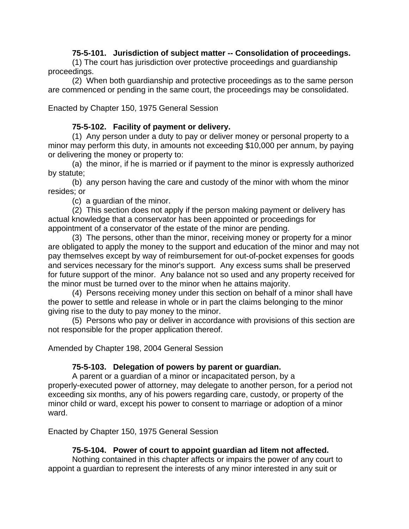## **75-5-101. Jurisdiction of subject matter -- Consolidation of proceedings.**

(1) The court has jurisdiction over protective proceedings and guardianship proceedings.

(2) When both guardianship and protective proceedings as to the same person are commenced or pending in the same court, the proceedings may be consolidated.

Enacted by Chapter 150, 1975 General Session

#### **75-5-102. Facility of payment or delivery.**

(1) Any person under a duty to pay or deliver money or personal property to a minor may perform this duty, in amounts not exceeding \$10,000 per annum, by paying or delivering the money or property to:

(a) the minor, if he is married or if payment to the minor is expressly authorized by statute;

(b) any person having the care and custody of the minor with whom the minor resides; or

(c) a guardian of the minor.

(2) This section does not apply if the person making payment or delivery has actual knowledge that a conservator has been appointed or proceedings for appointment of a conservator of the estate of the minor are pending.

(3) The persons, other than the minor, receiving money or property for a minor are obligated to apply the money to the support and education of the minor and may not pay themselves except by way of reimbursement for out-of-pocket expenses for goods and services necessary for the minor's support. Any excess sums shall be preserved for future support of the minor. Any balance not so used and any property received for the minor must be turned over to the minor when he attains majority.

(4) Persons receiving money under this section on behalf of a minor shall have the power to settle and release in whole or in part the claims belonging to the minor giving rise to the duty to pay money to the minor.

(5) Persons who pay or deliver in accordance with provisions of this section are not responsible for the proper application thereof.

Amended by Chapter 198, 2004 General Session

#### **75-5-103. Delegation of powers by parent or guardian.**

A parent or a guardian of a minor or incapacitated person, by a properly-executed power of attorney, may delegate to another person, for a period not exceeding six months, any of his powers regarding care, custody, or property of the minor child or ward, except his power to consent to marriage or adoption of a minor ward.

Enacted by Chapter 150, 1975 General Session

#### **75-5-104. Power of court to appoint guardian ad litem not affected.**

Nothing contained in this chapter affects or impairs the power of any court to appoint a guardian to represent the interests of any minor interested in any suit or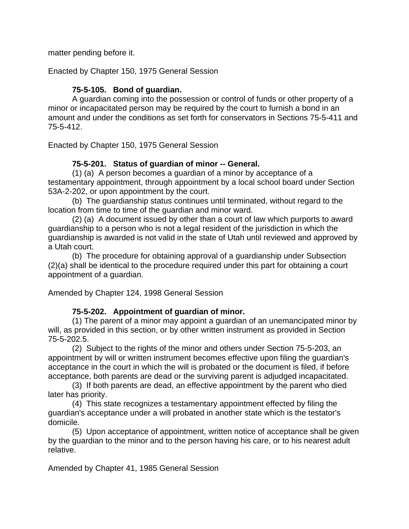matter pending before it.

Enacted by Chapter 150, 1975 General Session

### **75-5-105. Bond of guardian.**

A guardian coming into the possession or control of funds or other property of a minor or incapacitated person may be required by the court to furnish a bond in an amount and under the conditions as set forth for conservators in Sections 75-5-411 and 75-5-412.

Enacted by Chapter 150, 1975 General Session

### **75-5-201. Status of guardian of minor -- General.**

(1) (a) A person becomes a guardian of a minor by acceptance of a testamentary appointment, through appointment by a local school board under Section 53A-2-202, or upon appointment by the court.

(b) The guardianship status continues until terminated, without regard to the location from time to time of the guardian and minor ward.

(2) (a) A document issued by other than a court of law which purports to award guardianship to a person who is not a legal resident of the jurisdiction in which the guardianship is awarded is not valid in the state of Utah until reviewed and approved by a Utah court.

(b) The procedure for obtaining approval of a guardianship under Subsection (2)(a) shall be identical to the procedure required under this part for obtaining a court appointment of a guardian.

Amended by Chapter 124, 1998 General Session

#### **75-5-202. Appointment of guardian of minor.**

(1) The parent of a minor may appoint a guardian of an unemancipated minor by will, as provided in this section, or by other written instrument as provided in Section 75-5-202.5.

(2) Subject to the rights of the minor and others under Section 75-5-203, an appointment by will or written instrument becomes effective upon filing the guardian's acceptance in the court in which the will is probated or the document is filed, if before acceptance, both parents are dead or the surviving parent is adjudged incapacitated.

(3) If both parents are dead, an effective appointment by the parent who died later has priority.

(4) This state recognizes a testamentary appointment effected by filing the guardian's acceptance under a will probated in another state which is the testator's domicile.

(5) Upon acceptance of appointment, written notice of acceptance shall be given by the guardian to the minor and to the person having his care, or to his nearest adult relative.

Amended by Chapter 41, 1985 General Session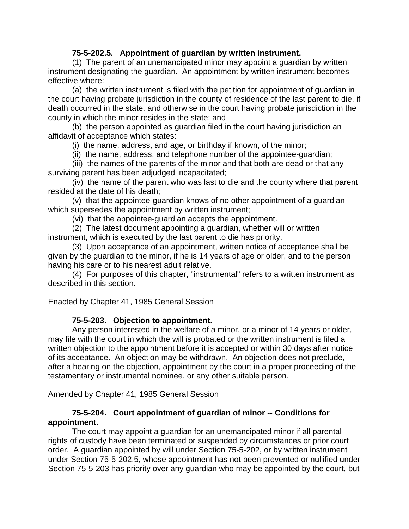### **75-5-202.5. Appointment of guardian by written instrument.**

(1) The parent of an unemancipated minor may appoint a guardian by written instrument designating the guardian. An appointment by written instrument becomes effective where:

(a) the written instrument is filed with the petition for appointment of guardian in the court having probate jurisdiction in the county of residence of the last parent to die, if death occurred in the state, and otherwise in the court having probate jurisdiction in the county in which the minor resides in the state; and

(b) the person appointed as guardian filed in the court having jurisdiction an affidavit of acceptance which states:

(i) the name, address, and age, or birthday if known, of the minor;

(ii) the name, address, and telephone number of the appointee-guardian;

(iii) the names of the parents of the minor and that both are dead or that any surviving parent has been adjudged incapacitated;

(iv) the name of the parent who was last to die and the county where that parent resided at the date of his death;

(v) that the appointee-guardian knows of no other appointment of a guardian which supersedes the appointment by written instrument;

(vi) that the appointee-guardian accepts the appointment.

(2) The latest document appointing a guardian, whether will or written instrument, which is executed by the last parent to die has priority.

(3) Upon acceptance of an appointment, written notice of acceptance shall be given by the guardian to the minor, if he is 14 years of age or older, and to the person having his care or to his nearest adult relative.

(4) For purposes of this chapter, "instrumental" refers to a written instrument as described in this section.

Enacted by Chapter 41, 1985 General Session

## **75-5-203. Objection to appointment.**

Any person interested in the welfare of a minor, or a minor of 14 years or older, may file with the court in which the will is probated or the written instrument is filed a written objection to the appointment before it is accepted or within 30 days after notice of its acceptance. An objection may be withdrawn. An objection does not preclude, after a hearing on the objection, appointment by the court in a proper proceeding of the testamentary or instrumental nominee, or any other suitable person.

Amended by Chapter 41, 1985 General Session

## **75-5-204. Court appointment of guardian of minor -- Conditions for appointment.**

The court may appoint a guardian for an unemancipated minor if all parental rights of custody have been terminated or suspended by circumstances or prior court order. A guardian appointed by will under Section 75-5-202, or by written instrument under Section 75-5-202.5, whose appointment has not been prevented or nullified under Section 75-5-203 has priority over any guardian who may be appointed by the court, but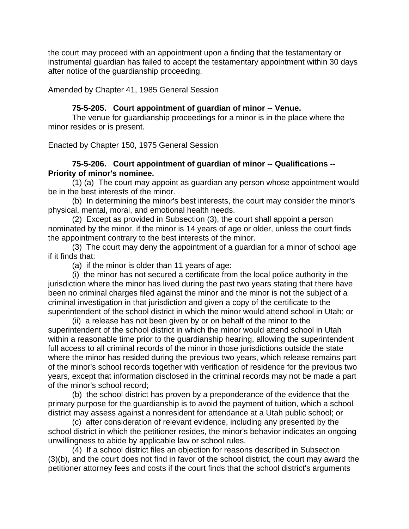the court may proceed with an appointment upon a finding that the testamentary or instrumental guardian has failed to accept the testamentary appointment within 30 days after notice of the guardianship proceeding.

Amended by Chapter 41, 1985 General Session

#### **75-5-205. Court appointment of guardian of minor -- Venue.**

The venue for guardianship proceedings for a minor is in the place where the minor resides or is present.

Enacted by Chapter 150, 1975 General Session

### **75-5-206. Court appointment of guardian of minor -- Qualifications -- Priority of minor's nominee.**

(1) (a) The court may appoint as guardian any person whose appointment would be in the best interests of the minor.

(b) In determining the minor's best interests, the court may consider the minor's physical, mental, moral, and emotional health needs.

(2) Except as provided in Subsection (3), the court shall appoint a person nominated by the minor, if the minor is 14 years of age or older, unless the court finds the appointment contrary to the best interests of the minor.

(3) The court may deny the appointment of a guardian for a minor of school age if it finds that:

(a) if the minor is older than 11 years of age:

(i) the minor has not secured a certificate from the local police authority in the jurisdiction where the minor has lived during the past two years stating that there have been no criminal charges filed against the minor and the minor is not the subject of a criminal investigation in that jurisdiction and given a copy of the certificate to the superintendent of the school district in which the minor would attend school in Utah; or

(ii) a release has not been given by or on behalf of the minor to the superintendent of the school district in which the minor would attend school in Utah within a reasonable time prior to the guardianship hearing, allowing the superintendent full access to all criminal records of the minor in those jurisdictions outside the state where the minor has resided during the previous two years, which release remains part of the minor's school records together with verification of residence for the previous two years, except that information disclosed in the criminal records may not be made a part of the minor's school record;

(b) the school district has proven by a preponderance of the evidence that the primary purpose for the guardianship is to avoid the payment of tuition, which a school district may assess against a nonresident for attendance at a Utah public school; or

(c) after consideration of relevant evidence, including any presented by the school district in which the petitioner resides, the minor's behavior indicates an ongoing unwillingness to abide by applicable law or school rules.

(4) If a school district files an objection for reasons described in Subsection (3)(b), and the court does not find in favor of the school district, the court may award the petitioner attorney fees and costs if the court finds that the school district's arguments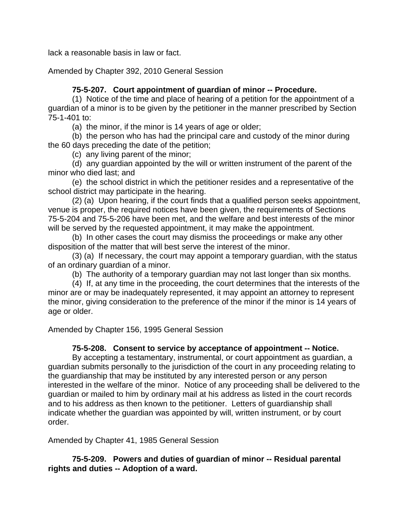lack a reasonable basis in law or fact.

Amended by Chapter 392, 2010 General Session

## **75-5-207. Court appointment of guardian of minor -- Procedure.**

(1) Notice of the time and place of hearing of a petition for the appointment of a guardian of a minor is to be given by the petitioner in the manner prescribed by Section 75-1-401 to:

(a) the minor, if the minor is 14 years of age or older;

(b) the person who has had the principal care and custody of the minor during the 60 days preceding the date of the petition;

(c) any living parent of the minor;

(d) any guardian appointed by the will or written instrument of the parent of the minor who died last; and

(e) the school district in which the petitioner resides and a representative of the school district may participate in the hearing.

(2) (a) Upon hearing, if the court finds that a qualified person seeks appointment, venue is proper, the required notices have been given, the requirements of Sections 75-5-204 and 75-5-206 have been met, and the welfare and best interests of the minor will be served by the requested appointment, it may make the appointment.

(b) In other cases the court may dismiss the proceedings or make any other disposition of the matter that will best serve the interest of the minor.

(3) (a) If necessary, the court may appoint a temporary guardian, with the status of an ordinary guardian of a minor.

(b) The authority of a temporary guardian may not last longer than six months.

(4) If, at any time in the proceeding, the court determines that the interests of the minor are or may be inadequately represented, it may appoint an attorney to represent the minor, giving consideration to the preference of the minor if the minor is 14 years of age or older.

Amended by Chapter 156, 1995 General Session

## **75-5-208. Consent to service by acceptance of appointment -- Notice.**

By accepting a testamentary, instrumental, or court appointment as guardian, a guardian submits personally to the jurisdiction of the court in any proceeding relating to the guardianship that may be instituted by any interested person or any person interested in the welfare of the minor. Notice of any proceeding shall be delivered to the guardian or mailed to him by ordinary mail at his address as listed in the court records and to his address as then known to the petitioner. Letters of guardianship shall indicate whether the guardian was appointed by will, written instrument, or by court order.

Amended by Chapter 41, 1985 General Session

**75-5-209. Powers and duties of guardian of minor -- Residual parental rights and duties -- Adoption of a ward.**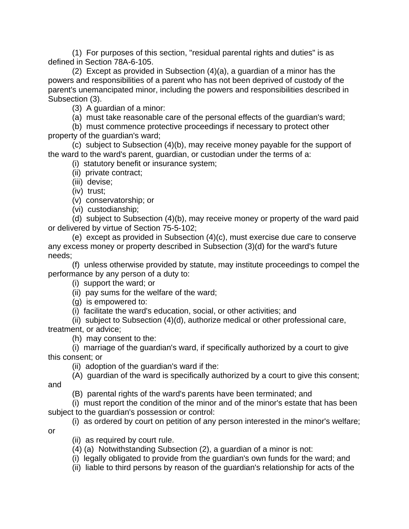(1) For purposes of this section, "residual parental rights and duties" is as defined in Section 78A-6-105.

(2) Except as provided in Subsection (4)(a), a guardian of a minor has the powers and responsibilities of a parent who has not been deprived of custody of the parent's unemancipated minor, including the powers and responsibilities described in Subsection (3).

(3) A guardian of a minor:

(a) must take reasonable care of the personal effects of the guardian's ward;

(b) must commence protective proceedings if necessary to protect other property of the guardian's ward;

(c) subject to Subsection (4)(b), may receive money payable for the support of the ward to the ward's parent, guardian, or custodian under the terms of a:

(i) statutory benefit or insurance system;

(ii) private contract;

(iii) devise;

(iv) trust;

(v) conservatorship; or

(vi) custodianship;

(d) subject to Subsection (4)(b), may receive money or property of the ward paid or delivered by virtue of Section 75-5-102;

(e) except as provided in Subsection (4)(c), must exercise due care to conserve any excess money or property described in Subsection (3)(d) for the ward's future needs;

(f) unless otherwise provided by statute, may institute proceedings to compel the performance by any person of a duty to:

(i) support the ward; or

(ii) pay sums for the welfare of the ward;

(g) is empowered to:

(i) facilitate the ward's education, social, or other activities; and

(ii) subject to Subsection (4)(d), authorize medical or other professional care, treatment, or advice;

(h) may consent to the:

(i) marriage of the guardian's ward, if specifically authorized by a court to give this consent; or

(ii) adoption of the guardian's ward if the:

(A) guardian of the ward is specifically authorized by a court to give this consent; and

(B) parental rights of the ward's parents have been terminated; and

(i) must report the condition of the minor and of the minor's estate that has been subject to the guardian's possession or control:

(i) as ordered by court on petition of any person interested in the minor's welfare; or

(ii) as required by court rule.

(4) (a) Notwithstanding Subsection (2), a guardian of a minor is not:

(i) legally obligated to provide from the guardian's own funds for the ward; and

(ii) liable to third persons by reason of the guardian's relationship for acts of the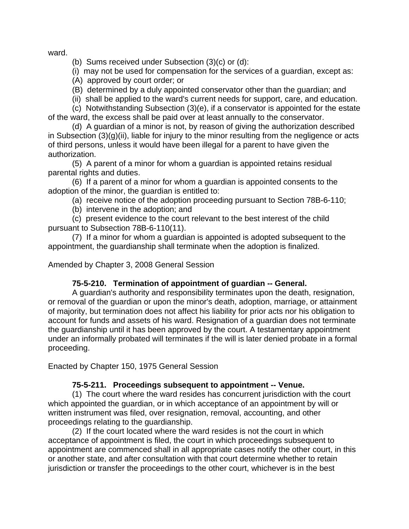ward.

(b) Sums received under Subsection (3)(c) or (d):

(i) may not be used for compensation for the services of a guardian, except as:

(A) approved by court order; or

(B) determined by a duly appointed conservator other than the guardian; and

(ii) shall be applied to the ward's current needs for support, care, and education.

(c) Notwithstanding Subsection (3)(e), if a conservator is appointed for the estate of the ward, the excess shall be paid over at least annually to the conservator.

(d) A guardian of a minor is not, by reason of giving the authorization described in Subsection  $(3)(g)(ii)$ , liable for injury to the minor resulting from the negligence or acts of third persons, unless it would have been illegal for a parent to have given the authorization.

(5) A parent of a minor for whom a guardian is appointed retains residual parental rights and duties.

(6) If a parent of a minor for whom a guardian is appointed consents to the adoption of the minor, the guardian is entitled to:

(a) receive notice of the adoption proceeding pursuant to Section 78B-6-110;

(b) intervene in the adoption; and

(c) present evidence to the court relevant to the best interest of the child pursuant to Subsection 78B-6-110(11).

(7) If a minor for whom a guardian is appointed is adopted subsequent to the appointment, the guardianship shall terminate when the adoption is finalized.

Amended by Chapter 3, 2008 General Session

## **75-5-210. Termination of appointment of guardian -- General.**

A guardian's authority and responsibility terminates upon the death, resignation, or removal of the guardian or upon the minor's death, adoption, marriage, or attainment of majority, but termination does not affect his liability for prior acts nor his obligation to account for funds and assets of his ward. Resignation of a guardian does not terminate the guardianship until it has been approved by the court. A testamentary appointment under an informally probated will terminates if the will is later denied probate in a formal proceeding.

Enacted by Chapter 150, 1975 General Session

## **75-5-211. Proceedings subsequent to appointment -- Venue.**

(1) The court where the ward resides has concurrent jurisdiction with the court which appointed the guardian, or in which acceptance of an appointment by will or written instrument was filed, over resignation, removal, accounting, and other proceedings relating to the guardianship.

(2) If the court located where the ward resides is not the court in which acceptance of appointment is filed, the court in which proceedings subsequent to appointment are commenced shall in all appropriate cases notify the other court, in this or another state, and after consultation with that court determine whether to retain jurisdiction or transfer the proceedings to the other court, whichever is in the best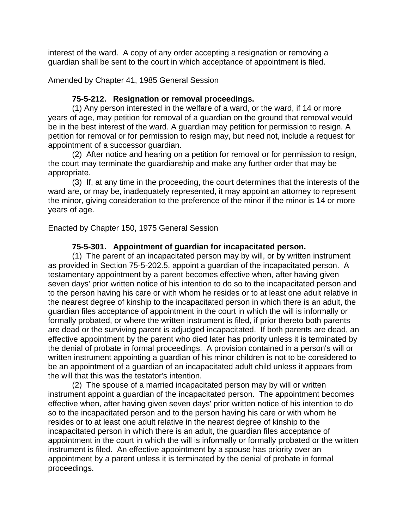interest of the ward. A copy of any order accepting a resignation or removing a guardian shall be sent to the court in which acceptance of appointment is filed.

Amended by Chapter 41, 1985 General Session

#### **75-5-212. Resignation or removal proceedings.**

(1) Any person interested in the welfare of a ward, or the ward, if 14 or more years of age, may petition for removal of a guardian on the ground that removal would be in the best interest of the ward. A guardian may petition for permission to resign. A petition for removal or for permission to resign may, but need not, include a request for appointment of a successor guardian.

(2) After notice and hearing on a petition for removal or for permission to resign, the court may terminate the guardianship and make any further order that may be appropriate.

(3) If, at any time in the proceeding, the court determines that the interests of the ward are, or may be, inadequately represented, it may appoint an attorney to represent the minor, giving consideration to the preference of the minor if the minor is 14 or more years of age.

### Enacted by Chapter 150, 1975 General Session

### **75-5-301. Appointment of guardian for incapacitated person.**

(1) The parent of an incapacitated person may by will, or by written instrument as provided in Section 75-5-202.5, appoint a guardian of the incapacitated person. A testamentary appointment by a parent becomes effective when, after having given seven days' prior written notice of his intention to do so to the incapacitated person and to the person having his care or with whom he resides or to at least one adult relative in the nearest degree of kinship to the incapacitated person in which there is an adult, the guardian files acceptance of appointment in the court in which the will is informally or formally probated, or where the written instrument is filed, if prior thereto both parents are dead or the surviving parent is adjudged incapacitated. If both parents are dead, an effective appointment by the parent who died later has priority unless it is terminated by the denial of probate in formal proceedings. A provision contained in a person's will or written instrument appointing a guardian of his minor children is not to be considered to be an appointment of a guardian of an incapacitated adult child unless it appears from the will that this was the testator's intention.

(2) The spouse of a married incapacitated person may by will or written instrument appoint a guardian of the incapacitated person. The appointment becomes effective when, after having given seven days' prior written notice of his intention to do so to the incapacitated person and to the person having his care or with whom he resides or to at least one adult relative in the nearest degree of kinship to the incapacitated person in which there is an adult, the guardian files acceptance of appointment in the court in which the will is informally or formally probated or the written instrument is filed. An effective appointment by a spouse has priority over an appointment by a parent unless it is terminated by the denial of probate in formal proceedings.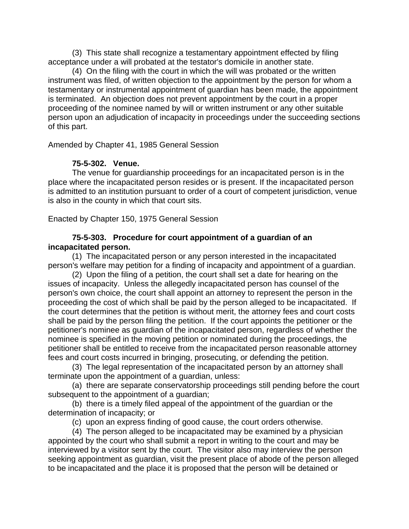(3) This state shall recognize a testamentary appointment effected by filing acceptance under a will probated at the testator's domicile in another state.

(4) On the filing with the court in which the will was probated or the written instrument was filed, of written objection to the appointment by the person for whom a testamentary or instrumental appointment of guardian has been made, the appointment is terminated. An objection does not prevent appointment by the court in a proper proceeding of the nominee named by will or written instrument or any other suitable person upon an adjudication of incapacity in proceedings under the succeeding sections of this part.

Amended by Chapter 41, 1985 General Session

# **75-5-302. Venue.**

The venue for guardianship proceedings for an incapacitated person is in the place where the incapacitated person resides or is present. If the incapacitated person is admitted to an institution pursuant to order of a court of competent jurisdiction, venue is also in the county in which that court sits.

Enacted by Chapter 150, 1975 General Session

### **75-5-303. Procedure for court appointment of a guardian of an incapacitated person.**

(1) The incapacitated person or any person interested in the incapacitated person's welfare may petition for a finding of incapacity and appointment of a guardian.

(2) Upon the filing of a petition, the court shall set a date for hearing on the issues of incapacity. Unless the allegedly incapacitated person has counsel of the person's own choice, the court shall appoint an attorney to represent the person in the proceeding the cost of which shall be paid by the person alleged to be incapacitated. If the court determines that the petition is without merit, the attorney fees and court costs shall be paid by the person filing the petition. If the court appoints the petitioner or the petitioner's nominee as guardian of the incapacitated person, regardless of whether the nominee is specified in the moving petition or nominated during the proceedings, the petitioner shall be entitled to receive from the incapacitated person reasonable attorney fees and court costs incurred in bringing, prosecuting, or defending the petition.

(3) The legal representation of the incapacitated person by an attorney shall terminate upon the appointment of a guardian, unless:

(a) there are separate conservatorship proceedings still pending before the court subsequent to the appointment of a guardian;

(b) there is a timely filed appeal of the appointment of the guardian or the determination of incapacity; or

(c) upon an express finding of good cause, the court orders otherwise.

(4) The person alleged to be incapacitated may be examined by a physician appointed by the court who shall submit a report in writing to the court and may be interviewed by a visitor sent by the court. The visitor also may interview the person seeking appointment as guardian, visit the present place of abode of the person alleged to be incapacitated and the place it is proposed that the person will be detained or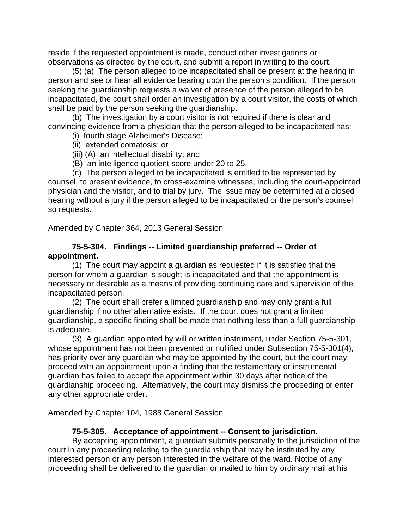reside if the requested appointment is made, conduct other investigations or observations as directed by the court, and submit a report in writing to the court.

(5) (a) The person alleged to be incapacitated shall be present at the hearing in person and see or hear all evidence bearing upon the person's condition. If the person seeking the guardianship requests a waiver of presence of the person alleged to be incapacitated, the court shall order an investigation by a court visitor, the costs of which shall be paid by the person seeking the guardianship.

(b) The investigation by a court visitor is not required if there is clear and convincing evidence from a physician that the person alleged to be incapacitated has:

(i) fourth stage Alzheimer's Disease;

- (ii) extended comatosis; or
- (iii) (A) an intellectual disability; and
- (B) an intelligence quotient score under 20 to 25.

(c) The person alleged to be incapacitated is entitled to be represented by counsel, to present evidence, to cross-examine witnesses, including the court-appointed physician and the visitor, and to trial by jury. The issue may be determined at a closed hearing without a jury if the person alleged to be incapacitated or the person's counsel so requests.

Amended by Chapter 364, 2013 General Session

### **75-5-304. Findings -- Limited guardianship preferred -- Order of appointment.**

(1) The court may appoint a guardian as requested if it is satisfied that the person for whom a guardian is sought is incapacitated and that the appointment is necessary or desirable as a means of providing continuing care and supervision of the incapacitated person.

(2) The court shall prefer a limited guardianship and may only grant a full guardianship if no other alternative exists. If the court does not grant a limited guardianship, a specific finding shall be made that nothing less than a full guardianship is adequate.

(3) A guardian appointed by will or written instrument, under Section 75-5-301, whose appointment has not been prevented or nullified under Subsection 75-5-301(4), has priority over any guardian who may be appointed by the court, but the court may proceed with an appointment upon a finding that the testamentary or instrumental guardian has failed to accept the appointment within 30 days after notice of the guardianship proceeding. Alternatively, the court may dismiss the proceeding or enter any other appropriate order.

Amended by Chapter 104, 1988 General Session

## **75-5-305. Acceptance of appointment -- Consent to jurisdiction.**

By accepting appointment, a guardian submits personally to the jurisdiction of the court in any proceeding relating to the guardianship that may be instituted by any interested person or any person interested in the welfare of the ward. Notice of any proceeding shall be delivered to the guardian or mailed to him by ordinary mail at his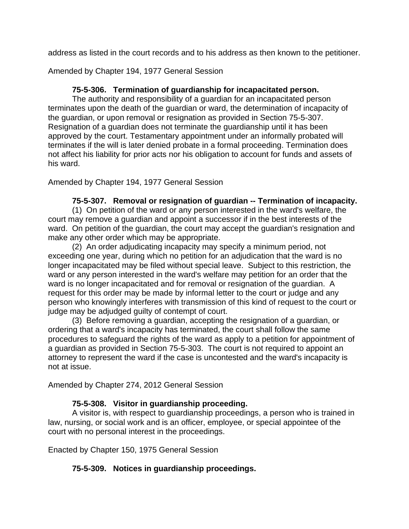address as listed in the court records and to his address as then known to the petitioner.

Amended by Chapter 194, 1977 General Session

#### **75-5-306. Termination of guardianship for incapacitated person.**

The authority and responsibility of a guardian for an incapacitated person terminates upon the death of the guardian or ward, the determination of incapacity of the guardian, or upon removal or resignation as provided in Section 75-5-307. Resignation of a guardian does not terminate the guardianship until it has been approved by the court. Testamentary appointment under an informally probated will terminates if the will is later denied probate in a formal proceeding. Termination does not affect his liability for prior acts nor his obligation to account for funds and assets of his ward.

Amended by Chapter 194, 1977 General Session

### **75-5-307. Removal or resignation of guardian -- Termination of incapacity.**

(1) On petition of the ward or any person interested in the ward's welfare, the court may remove a guardian and appoint a successor if in the best interests of the ward. On petition of the guardian, the court may accept the guardian's resignation and make any other order which may be appropriate.

(2) An order adjudicating incapacity may specify a minimum period, not exceeding one year, during which no petition for an adjudication that the ward is no longer incapacitated may be filed without special leave. Subject to this restriction, the ward or any person interested in the ward's welfare may petition for an order that the ward is no longer incapacitated and for removal or resignation of the quardian. A request for this order may be made by informal letter to the court or judge and any person who knowingly interferes with transmission of this kind of request to the court or judge may be adjudged guilty of contempt of court.

(3) Before removing a guardian, accepting the resignation of a guardian, or ordering that a ward's incapacity has terminated, the court shall follow the same procedures to safeguard the rights of the ward as apply to a petition for appointment of a guardian as provided in Section 75-5-303. The court is not required to appoint an attorney to represent the ward if the case is uncontested and the ward's incapacity is not at issue.

Amended by Chapter 274, 2012 General Session

## **75-5-308. Visitor in guardianship proceeding.**

A visitor is, with respect to guardianship proceedings, a person who is trained in law, nursing, or social work and is an officer, employee, or special appointee of the court with no personal interest in the proceedings.

Enacted by Chapter 150, 1975 General Session

#### **75-5-309. Notices in guardianship proceedings.**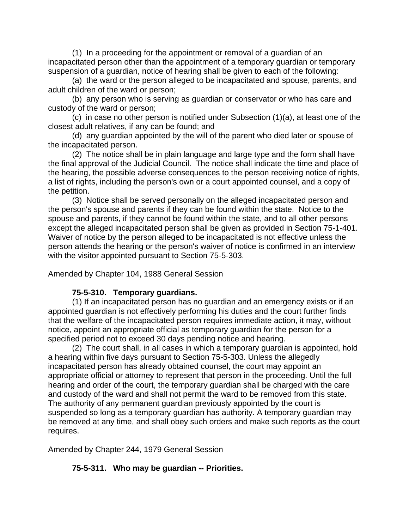(1) In a proceeding for the appointment or removal of a guardian of an incapacitated person other than the appointment of a temporary guardian or temporary suspension of a guardian, notice of hearing shall be given to each of the following:

(a) the ward or the person alleged to be incapacitated and spouse, parents, and adult children of the ward or person;

(b) any person who is serving as guardian or conservator or who has care and custody of the ward or person;

(c) in case no other person is notified under Subsection (1)(a), at least one of the closest adult relatives, if any can be found; and

(d) any guardian appointed by the will of the parent who died later or spouse of the incapacitated person.

(2) The notice shall be in plain language and large type and the form shall have the final approval of the Judicial Council. The notice shall indicate the time and place of the hearing, the possible adverse consequences to the person receiving notice of rights, a list of rights, including the person's own or a court appointed counsel, and a copy of the petition.

(3) Notice shall be served personally on the alleged incapacitated person and the person's spouse and parents if they can be found within the state. Notice to the spouse and parents, if they cannot be found within the state, and to all other persons except the alleged incapacitated person shall be given as provided in Section 75-1-401. Waiver of notice by the person alleged to be incapacitated is not effective unless the person attends the hearing or the person's waiver of notice is confirmed in an interview with the visitor appointed pursuant to Section 75-5-303.

Amended by Chapter 104, 1988 General Session

#### **75-5-310. Temporary guardians.**

(1) If an incapacitated person has no guardian and an emergency exists or if an appointed guardian is not effectively performing his duties and the court further finds that the welfare of the incapacitated person requires immediate action, it may, without notice, appoint an appropriate official as temporary guardian for the person for a specified period not to exceed 30 days pending notice and hearing.

(2) The court shall, in all cases in which a temporary guardian is appointed, hold a hearing within five days pursuant to Section 75-5-303. Unless the allegedly incapacitated person has already obtained counsel, the court may appoint an appropriate official or attorney to represent that person in the proceeding. Until the full hearing and order of the court, the temporary guardian shall be charged with the care and custody of the ward and shall not permit the ward to be removed from this state. The authority of any permanent guardian previously appointed by the court is suspended so long as a temporary guardian has authority. A temporary guardian may be removed at any time, and shall obey such orders and make such reports as the court requires.

Amended by Chapter 244, 1979 General Session

## **75-5-311. Who may be guardian -- Priorities.**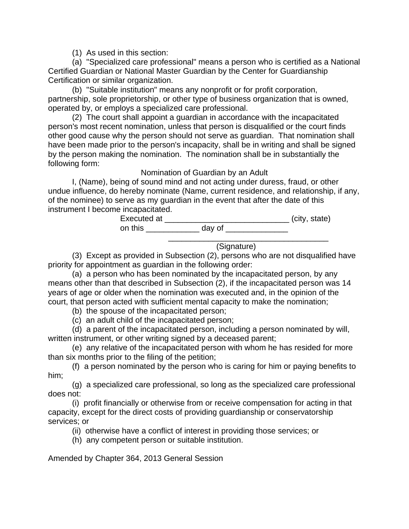(1) As used in this section:

(a) "Specialized care professional" means a person who is certified as a National Certified Guardian or National Master Guardian by the Center for Guardianship Certification or similar organization.

(b) "Suitable institution" means any nonprofit or for profit corporation, partnership, sole proprietorship, or other type of business organization that is owned, operated by, or employs a specialized care professional.

(2) The court shall appoint a guardian in accordance with the incapacitated person's most recent nomination, unless that person is disqualified or the court finds other good cause why the person should not serve as guardian. That nomination shall have been made prior to the person's incapacity, shall be in writing and shall be signed by the person making the nomination. The nomination shall be in substantially the following form:

#### Nomination of Guardian by an Adult

I, (Name), being of sound mind and not acting under duress, fraud, or other undue influence, do hereby nominate (Name, current residence, and relationship, if any, of the nominee) to serve as my guardian in the event that after the date of this instrument I become incapacitated.

Executed at \_\_\_\_\_\_\_\_\_\_\_\_\_\_\_\_\_\_\_\_\_\_\_\_\_\_\_\_ (city, state) on this \_\_\_\_\_\_\_\_\_\_\_\_\_ day of \_\_\_\_\_\_\_\_\_\_\_\_\_\_\_ \_\_\_\_\_\_\_\_\_\_\_\_\_\_\_\_\_\_\_\_\_\_\_\_\_\_\_\_\_\_\_\_\_\_\_\_

(Signature)

(3) Except as provided in Subsection (2), persons who are not disqualified have priority for appointment as guardian in the following order:

(a) a person who has been nominated by the incapacitated person, by any means other than that described in Subsection (2), if the incapacitated person was 14 years of age or older when the nomination was executed and, in the opinion of the court, that person acted with sufficient mental capacity to make the nomination;

(b) the spouse of the incapacitated person;

(c) an adult child of the incapacitated person;

(d) a parent of the incapacitated person, including a person nominated by will, written instrument, or other writing signed by a deceased parent;

(e) any relative of the incapacitated person with whom he has resided for more than six months prior to the filing of the petition;

(f) a person nominated by the person who is caring for him or paying benefits to him;

(g) a specialized care professional, so long as the specialized care professional does not:

(i) profit financially or otherwise from or receive compensation for acting in that capacity, except for the direct costs of providing guardianship or conservatorship services; or

(ii) otherwise have a conflict of interest in providing those services; or

(h) any competent person or suitable institution.

Amended by Chapter 364, 2013 General Session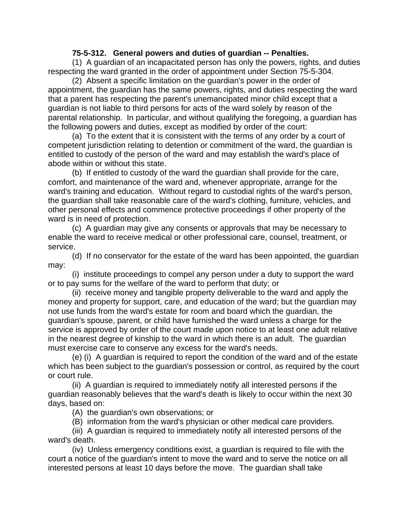#### **75-5-312. General powers and duties of guardian -- Penalties.**

(1) A guardian of an incapacitated person has only the powers, rights, and duties respecting the ward granted in the order of appointment under Section 75-5-304.

(2) Absent a specific limitation on the guardian's power in the order of appointment, the guardian has the same powers, rights, and duties respecting the ward that a parent has respecting the parent's unemancipated minor child except that a guardian is not liable to third persons for acts of the ward solely by reason of the parental relationship. In particular, and without qualifying the foregoing, a guardian has the following powers and duties, except as modified by order of the court:

(a) To the extent that it is consistent with the terms of any order by a court of competent jurisdiction relating to detention or commitment of the ward, the guardian is entitled to custody of the person of the ward and may establish the ward's place of abode within or without this state.

(b) If entitled to custody of the ward the guardian shall provide for the care, comfort, and maintenance of the ward and, whenever appropriate, arrange for the ward's training and education. Without regard to custodial rights of the ward's person, the guardian shall take reasonable care of the ward's clothing, furniture, vehicles, and other personal effects and commence protective proceedings if other property of the ward is in need of protection.

(c) A guardian may give any consents or approvals that may be necessary to enable the ward to receive medical or other professional care, counsel, treatment, or service.

(d) If no conservator for the estate of the ward has been appointed, the guardian may:

(i) institute proceedings to compel any person under a duty to support the ward or to pay sums for the welfare of the ward to perform that duty; or

(ii) receive money and tangible property deliverable to the ward and apply the money and property for support, care, and education of the ward; but the guardian may not use funds from the ward's estate for room and board which the guardian, the guardian's spouse, parent, or child have furnished the ward unless a charge for the service is approved by order of the court made upon notice to at least one adult relative in the nearest degree of kinship to the ward in which there is an adult. The guardian must exercise care to conserve any excess for the ward's needs.

(e) (i) A guardian is required to report the condition of the ward and of the estate which has been subject to the guardian's possession or control, as required by the court or court rule.

(ii) A guardian is required to immediately notify all interested persons if the guardian reasonably believes that the ward's death is likely to occur within the next 30 days, based on:

(A) the guardian's own observations; or

(B) information from the ward's physician or other medical care providers.

(iii) A guardian is required to immediately notify all interested persons of the ward's death.

(iv) Unless emergency conditions exist, a guardian is required to file with the court a notice of the guardian's intent to move the ward and to serve the notice on all interested persons at least 10 days before the move. The guardian shall take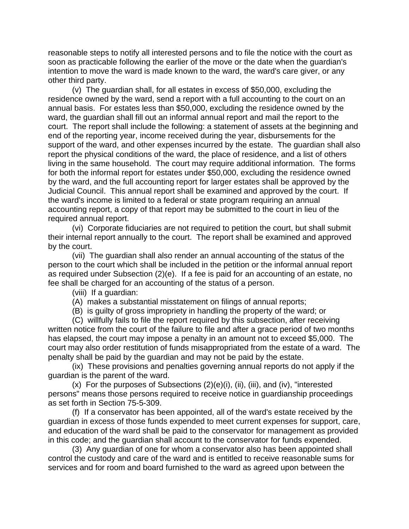reasonable steps to notify all interested persons and to file the notice with the court as soon as practicable following the earlier of the move or the date when the guardian's intention to move the ward is made known to the ward, the ward's care giver, or any other third party.

(v) The guardian shall, for all estates in excess of \$50,000, excluding the residence owned by the ward, send a report with a full accounting to the court on an annual basis. For estates less than \$50,000, excluding the residence owned by the ward, the guardian shall fill out an informal annual report and mail the report to the court. The report shall include the following: a statement of assets at the beginning and end of the reporting year, income received during the year, disbursements for the support of the ward, and other expenses incurred by the estate. The guardian shall also report the physical conditions of the ward, the place of residence, and a list of others living in the same household. The court may require additional information. The forms for both the informal report for estates under \$50,000, excluding the residence owned by the ward, and the full accounting report for larger estates shall be approved by the Judicial Council. This annual report shall be examined and approved by the court. If the ward's income is limited to a federal or state program requiring an annual accounting report, a copy of that report may be submitted to the court in lieu of the required annual report.

(vi) Corporate fiduciaries are not required to petition the court, but shall submit their internal report annually to the court. The report shall be examined and approved by the court.

(vii) The guardian shall also render an annual accounting of the status of the person to the court which shall be included in the petition or the informal annual report as required under Subsection (2)(e). If a fee is paid for an accounting of an estate, no fee shall be charged for an accounting of the status of a person.

#### (viii) If a guardian:

- (A) makes a substantial misstatement on filings of annual reports;
- (B) is guilty of gross impropriety in handling the property of the ward; or

(C) willfully fails to file the report required by this subsection, after receiving written notice from the court of the failure to file and after a grace period of two months has elapsed, the court may impose a penalty in an amount not to exceed \$5,000. The court may also order restitution of funds misappropriated from the estate of a ward. The penalty shall be paid by the guardian and may not be paid by the estate.

(ix) These provisions and penalties governing annual reports do not apply if the guardian is the parent of the ward.

 $(x)$  For the purposes of Subsections  $(2)(e)(i)$ ,  $(ii)$ ,  $(iii)$ , and  $(iv)$ , "interested persons" means those persons required to receive notice in guardianship proceedings as set forth in Section 75-5-309.

(f) If a conservator has been appointed, all of the ward's estate received by the guardian in excess of those funds expended to meet current expenses for support, care, and education of the ward shall be paid to the conservator for management as provided in this code; and the guardian shall account to the conservator for funds expended.

(3) Any guardian of one for whom a conservator also has been appointed shall control the custody and care of the ward and is entitled to receive reasonable sums for services and for room and board furnished to the ward as agreed upon between the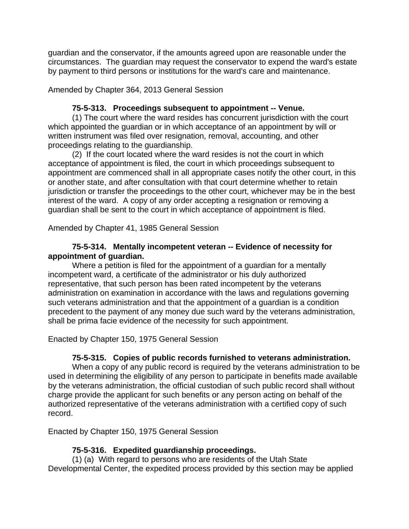guardian and the conservator, if the amounts agreed upon are reasonable under the circumstances. The guardian may request the conservator to expend the ward's estate by payment to third persons or institutions for the ward's care and maintenance.

Amended by Chapter 364, 2013 General Session

## **75-5-313. Proceedings subsequent to appointment -- Venue.**

(1) The court where the ward resides has concurrent jurisdiction with the court which appointed the guardian or in which acceptance of an appointment by will or written instrument was filed over resignation, removal, accounting, and other proceedings relating to the guardianship.

(2) If the court located where the ward resides is not the court in which acceptance of appointment is filed, the court in which proceedings subsequent to appointment are commenced shall in all appropriate cases notify the other court, in this or another state, and after consultation with that court determine whether to retain jurisdiction or transfer the proceedings to the other court, whichever may be in the best interest of the ward. A copy of any order accepting a resignation or removing a guardian shall be sent to the court in which acceptance of appointment is filed.

## Amended by Chapter 41, 1985 General Session

### **75-5-314. Mentally incompetent veteran -- Evidence of necessity for appointment of guardian.**

Where a petition is filed for the appointment of a guardian for a mentally incompetent ward, a certificate of the administrator or his duly authorized representative, that such person has been rated incompetent by the veterans administration on examination in accordance with the laws and regulations governing such veterans administration and that the appointment of a guardian is a condition precedent to the payment of any money due such ward by the veterans administration, shall be prima facie evidence of the necessity for such appointment.

Enacted by Chapter 150, 1975 General Session

## **75-5-315. Copies of public records furnished to veterans administration.**

When a copy of any public record is required by the veterans administration to be used in determining the eligibility of any person to participate in benefits made available by the veterans administration, the official custodian of such public record shall without charge provide the applicant for such benefits or any person acting on behalf of the authorized representative of the veterans administration with a certified copy of such record.

Enacted by Chapter 150, 1975 General Session

## **75-5-316. Expedited guardianship proceedings.**

(1) (a) With regard to persons who are residents of the Utah State Developmental Center, the expedited process provided by this section may be applied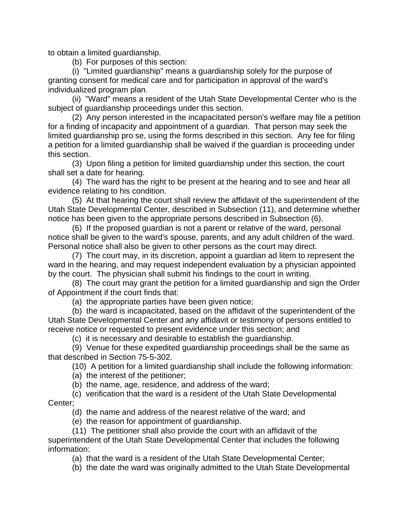to obtain a limited guardianship.

(b) For purposes of this section:

(i) "Limited guardianship" means a guardianship solely for the purpose of granting consent for medical care and for participation in approval of the ward's individualized program plan.

(ii) "Ward" means a resident of the Utah State Developmental Center who is the subject of guardianship proceedings under this section.

(2) Any person interested in the incapacitated person's welfare may file a petition for a finding of incapacity and appointment of a guardian. That person may seek the limited guardianship pro se, using the forms described in this section. Any fee for filing a petition for a limited guardianship shall be waived if the guardian is proceeding under this section.

(3) Upon filing a petition for limited guardianship under this section, the court shall set a date for hearing.

(4) The ward has the right to be present at the hearing and to see and hear all evidence relating to his condition.

(5) At that hearing the court shall review the affidavit of the superintendent of the Utah State Developmental Center, described in Subsection (11), and determine whether notice has been given to the appropriate persons described in Subsection (6).

(6) If the proposed guardian is not a parent or relative of the ward, personal notice shall be given to the ward's spouse, parents, and any adult children of the ward. Personal notice shall also be given to other persons as the court may direct.

(7) The court may, in its discretion, appoint a guardian ad litem to represent the ward in the hearing, and may request independent evaluation by a physician appointed by the court. The physician shall submit his findings to the court in writing.

(8) The court may grant the petition for a limited guardianship and sign the Order of Appointment if the court finds that:

(a) the appropriate parties have been given notice;

(b) the ward is incapacitated, based on the affidavit of the superintendent of the Utah State Developmental Center and any affidavit or testimony of persons entitled to receive notice or requested to present evidence under this section; and

(c) it is necessary and desirable to establish the guardianship.

(9) Venue for these expedited guardianship proceedings shall be the same as that described in Section 75-5-302.

(10) A petition for a limited guardianship shall include the following information:

(a) the interest of the petitioner;

(b) the name, age, residence, and address of the ward;

(c) verification that the ward is a resident of the Utah State Developmental Center;

(d) the name and address of the nearest relative of the ward; and

(e) the reason for appointment of guardianship.

(11) The petitioner shall also provide the court with an affidavit of the superintendent of the Utah State Developmental Center that includes the following information:

(a) that the ward is a resident of the Utah State Developmental Center;

(b) the date the ward was originally admitted to the Utah State Developmental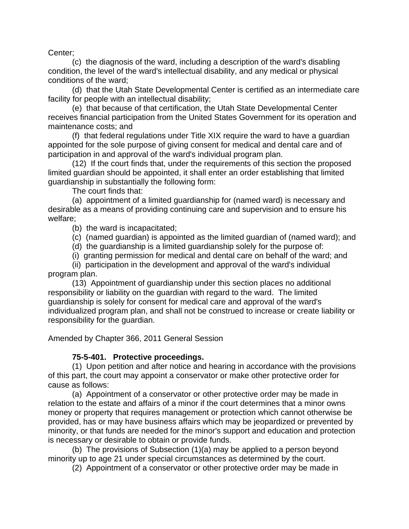Center;

(c) the diagnosis of the ward, including a description of the ward's disabling condition, the level of the ward's intellectual disability, and any medical or physical conditions of the ward;

(d) that the Utah State Developmental Center is certified as an intermediate care facility for people with an intellectual disability;

(e) that because of that certification, the Utah State Developmental Center receives financial participation from the United States Government for its operation and maintenance costs; and

(f) that federal regulations under Title XIX require the ward to have a guardian appointed for the sole purpose of giving consent for medical and dental care and of participation in and approval of the ward's individual program plan.

(12) If the court finds that, under the requirements of this section the proposed limited guardian should be appointed, it shall enter an order establishing that limited guardianship in substantially the following form:

The court finds that:

(a) appointment of a limited guardianship for (named ward) is necessary and desirable as a means of providing continuing care and supervision and to ensure his welfare;

(b) the ward is incapacitated;

(c) (named guardian) is appointed as the limited guardian of (named ward); and

(d) the guardianship is a limited guardianship solely for the purpose of:

(i) granting permission for medical and dental care on behalf of the ward; and

(ii) participation in the development and approval of the ward's individual program plan.

(13) Appointment of guardianship under this section places no additional responsibility or liability on the guardian with regard to the ward. The limited guardianship is solely for consent for medical care and approval of the ward's individualized program plan, and shall not be construed to increase or create liability or responsibility for the guardian.

Amended by Chapter 366, 2011 General Session

#### **75-5-401. Protective proceedings.**

(1) Upon petition and after notice and hearing in accordance with the provisions of this part, the court may appoint a conservator or make other protective order for cause as follows:

(a) Appointment of a conservator or other protective order may be made in relation to the estate and affairs of a minor if the court determines that a minor owns money or property that requires management or protection which cannot otherwise be provided, has or may have business affairs which may be jeopardized or prevented by minority, or that funds are needed for the minor's support and education and protection is necessary or desirable to obtain or provide funds.

(b) The provisions of Subsection (1)(a) may be applied to a person beyond minority up to age 21 under special circumstances as determined by the court.

(2) Appointment of a conservator or other protective order may be made in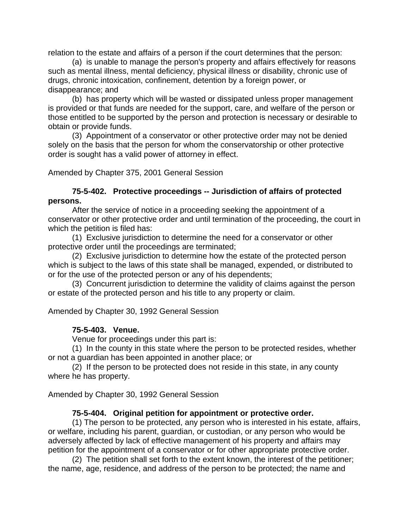relation to the estate and affairs of a person if the court determines that the person:

(a) is unable to manage the person's property and affairs effectively for reasons such as mental illness, mental deficiency, physical illness or disability, chronic use of drugs, chronic intoxication, confinement, detention by a foreign power, or disappearance; and

(b) has property which will be wasted or dissipated unless proper management is provided or that funds are needed for the support, care, and welfare of the person or those entitled to be supported by the person and protection is necessary or desirable to obtain or provide funds.

(3) Appointment of a conservator or other protective order may not be denied solely on the basis that the person for whom the conservatorship or other protective order is sought has a valid power of attorney in effect.

Amended by Chapter 375, 2001 General Session

### **75-5-402. Protective proceedings -- Jurisdiction of affairs of protected persons.**

After the service of notice in a proceeding seeking the appointment of a conservator or other protective order and until termination of the proceeding, the court in which the petition is filed has:

(1) Exclusive jurisdiction to determine the need for a conservator or other protective order until the proceedings are terminated;

(2) Exclusive jurisdiction to determine how the estate of the protected person which is subject to the laws of this state shall be managed, expended, or distributed to or for the use of the protected person or any of his dependents;

(3) Concurrent jurisdiction to determine the validity of claims against the person or estate of the protected person and his title to any property or claim.

Amended by Chapter 30, 1992 General Session

## **75-5-403. Venue.**

Venue for proceedings under this part is:

(1) In the county in this state where the person to be protected resides, whether or not a guardian has been appointed in another place; or

(2) If the person to be protected does not reside in this state, in any county where he has property.

Amended by Chapter 30, 1992 General Session

## **75-5-404. Original petition for appointment or protective order.**

(1) The person to be protected, any person who is interested in his estate, affairs, or welfare, including his parent, guardian, or custodian, or any person who would be adversely affected by lack of effective management of his property and affairs may petition for the appointment of a conservator or for other appropriate protective order.

(2) The petition shall set forth to the extent known, the interest of the petitioner; the name, age, residence, and address of the person to be protected; the name and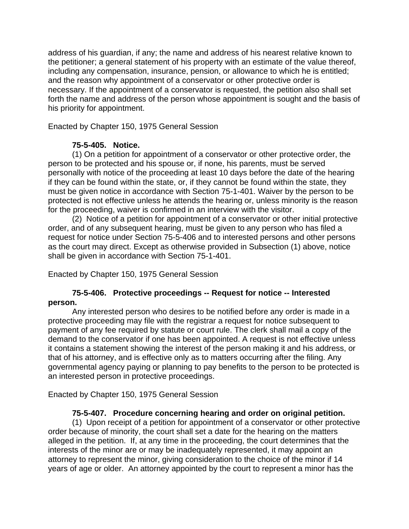address of his guardian, if any; the name and address of his nearest relative known to the petitioner; a general statement of his property with an estimate of the value thereof, including any compensation, insurance, pension, or allowance to which he is entitled; and the reason why appointment of a conservator or other protective order is necessary. If the appointment of a conservator is requested, the petition also shall set forth the name and address of the person whose appointment is sought and the basis of his priority for appointment.

Enacted by Chapter 150, 1975 General Session

# **75-5-405. Notice.**

(1) On a petition for appointment of a conservator or other protective order, the person to be protected and his spouse or, if none, his parents, must be served personally with notice of the proceeding at least 10 days before the date of the hearing if they can be found within the state, or, if they cannot be found within the state, they must be given notice in accordance with Section 75-1-401. Waiver by the person to be protected is not effective unless he attends the hearing or, unless minority is the reason for the proceeding, waiver is confirmed in an interview with the visitor.

(2) Notice of a petition for appointment of a conservator or other initial protective order, and of any subsequent hearing, must be given to any person who has filed a request for notice under Section 75-5-406 and to interested persons and other persons as the court may direct. Except as otherwise provided in Subsection (1) above, notice shall be given in accordance with Section 75-1-401.

Enacted by Chapter 150, 1975 General Session

### **75-5-406. Protective proceedings -- Request for notice -- Interested person.**

Any interested person who desires to be notified before any order is made in a protective proceeding may file with the registrar a request for notice subsequent to payment of any fee required by statute or court rule. The clerk shall mail a copy of the demand to the conservator if one has been appointed. A request is not effective unless it contains a statement showing the interest of the person making it and his address, or that of his attorney, and is effective only as to matters occurring after the filing. Any governmental agency paying or planning to pay benefits to the person to be protected is an interested person in protective proceedings.

Enacted by Chapter 150, 1975 General Session

# **75-5-407. Procedure concerning hearing and order on original petition.**

(1) Upon receipt of a petition for appointment of a conservator or other protective order because of minority, the court shall set a date for the hearing on the matters alleged in the petition. If, at any time in the proceeding, the court determines that the interests of the minor are or may be inadequately represented, it may appoint an attorney to represent the minor, giving consideration to the choice of the minor if 14 years of age or older. An attorney appointed by the court to represent a minor has the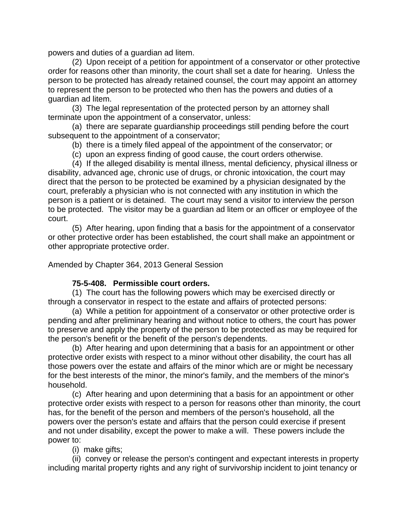powers and duties of a guardian ad litem.

(2) Upon receipt of a petition for appointment of a conservator or other protective order for reasons other than minority, the court shall set a date for hearing. Unless the person to be protected has already retained counsel, the court may appoint an attorney to represent the person to be protected who then has the powers and duties of a guardian ad litem.

(3) The legal representation of the protected person by an attorney shall terminate upon the appointment of a conservator, unless:

(a) there are separate guardianship proceedings still pending before the court subsequent to the appointment of a conservator;

(b) there is a timely filed appeal of the appointment of the conservator; or

(c) upon an express finding of good cause, the court orders otherwise.

(4) If the alleged disability is mental illness, mental deficiency, physical illness or disability, advanced age, chronic use of drugs, or chronic intoxication, the court may direct that the person to be protected be examined by a physician designated by the court, preferably a physician who is not connected with any institution in which the person is a patient or is detained. The court may send a visitor to interview the person to be protected. The visitor may be a guardian ad litem or an officer or employee of the court.

(5) After hearing, upon finding that a basis for the appointment of a conservator or other protective order has been established, the court shall make an appointment or other appropriate protective order.

Amended by Chapter 364, 2013 General Session

## **75-5-408. Permissible court orders.**

(1) The court has the following powers which may be exercised directly or through a conservator in respect to the estate and affairs of protected persons:

(a) While a petition for appointment of a conservator or other protective order is pending and after preliminary hearing and without notice to others, the court has power to preserve and apply the property of the person to be protected as may be required for the person's benefit or the benefit of the person's dependents.

(b) After hearing and upon determining that a basis for an appointment or other protective order exists with respect to a minor without other disability, the court has all those powers over the estate and affairs of the minor which are or might be necessary for the best interests of the minor, the minor's family, and the members of the minor's household.

(c) After hearing and upon determining that a basis for an appointment or other protective order exists with respect to a person for reasons other than minority, the court has, for the benefit of the person and members of the person's household, all the powers over the person's estate and affairs that the person could exercise if present and not under disability, except the power to make a will. These powers include the power to:

(i) make gifts;

(ii) convey or release the person's contingent and expectant interests in property including marital property rights and any right of survivorship incident to joint tenancy or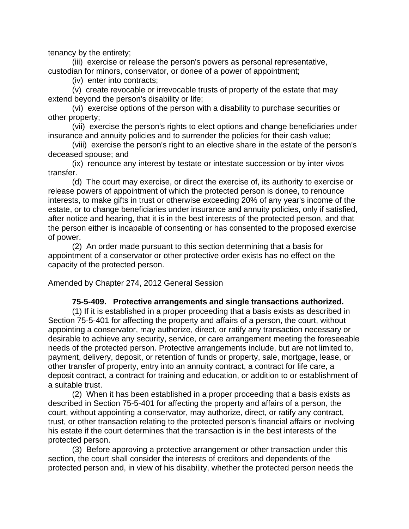tenancy by the entirety;

(iii) exercise or release the person's powers as personal representative, custodian for minors, conservator, or donee of a power of appointment;

(iv) enter into contracts;

(v) create revocable or irrevocable trusts of property of the estate that may extend beyond the person's disability or life;

(vi) exercise options of the person with a disability to purchase securities or other property;

(vii) exercise the person's rights to elect options and change beneficiaries under insurance and annuity policies and to surrender the policies for their cash value;

(viii) exercise the person's right to an elective share in the estate of the person's deceased spouse; and

(ix) renounce any interest by testate or intestate succession or by inter vivos transfer.

(d) The court may exercise, or direct the exercise of, its authority to exercise or release powers of appointment of which the protected person is donee, to renounce interests, to make gifts in trust or otherwise exceeding 20% of any year's income of the estate, or to change beneficiaries under insurance and annuity policies, only if satisfied, after notice and hearing, that it is in the best interests of the protected person, and that the person either is incapable of consenting or has consented to the proposed exercise of power.

(2) An order made pursuant to this section determining that a basis for appointment of a conservator or other protective order exists has no effect on the capacity of the protected person.

Amended by Chapter 274, 2012 General Session

#### **75-5-409. Protective arrangements and single transactions authorized.**

(1) If it is established in a proper proceeding that a basis exists as described in Section 75-5-401 for affecting the property and affairs of a person, the court, without appointing a conservator, may authorize, direct, or ratify any transaction necessary or desirable to achieve any security, service, or care arrangement meeting the foreseeable needs of the protected person. Protective arrangements include, but are not limited to, payment, delivery, deposit, or retention of funds or property, sale, mortgage, lease, or other transfer of property, entry into an annuity contract, a contract for life care, a deposit contract, a contract for training and education, or addition to or establishment of a suitable trust.

(2) When it has been established in a proper proceeding that a basis exists as described in Section 75-5-401 for affecting the property and affairs of a person, the court, without appointing a conservator, may authorize, direct, or ratify any contract, trust, or other transaction relating to the protected person's financial affairs or involving his estate if the court determines that the transaction is in the best interests of the protected person.

(3) Before approving a protective arrangement or other transaction under this section, the court shall consider the interests of creditors and dependents of the protected person and, in view of his disability, whether the protected person needs the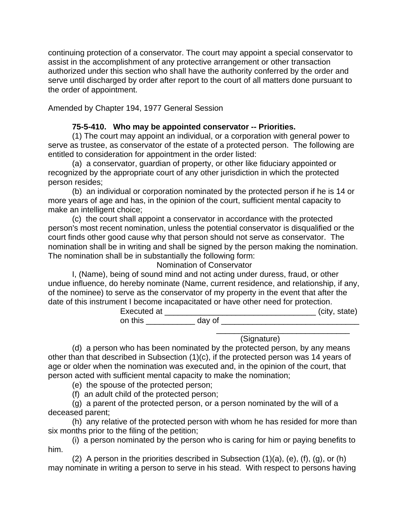continuing protection of a conservator. The court may appoint a special conservator to assist in the accomplishment of any protective arrangement or other transaction authorized under this section who shall have the authority conferred by the order and serve until discharged by order after report to the court of all matters done pursuant to the order of appointment.

Amended by Chapter 194, 1977 General Session

### **75-5-410. Who may be appointed conservator -- Priorities.**

(1) The court may appoint an individual, or a corporation with general power to serve as trustee, as conservator of the estate of a protected person. The following are entitled to consideration for appointment in the order listed:

(a) a conservator, guardian of property, or other like fiduciary appointed or recognized by the appropriate court of any other jurisdiction in which the protected person resides;

(b) an individual or corporation nominated by the protected person if he is 14 or more years of age and has, in the opinion of the court, sufficient mental capacity to make an intelligent choice;

(c) the court shall appoint a conservator in accordance with the protected person's most recent nomination, unless the potential conservator is disqualified or the court finds other good cause why that person should not serve as conservator. The nomination shall be in writing and shall be signed by the person making the nomination. The nomination shall be in substantially the following form:

#### Nomination of Conservator

I, (Name), being of sound mind and not acting under duress, fraud, or other undue influence, do hereby nominate (Name, current residence, and relationship, if any, of the nominee) to serve as the conservator of my property in the event that after the date of this instrument I become incapacitated or have other need for protection.

Executed at \_\_\_\_\_\_\_\_\_\_\_\_\_\_\_\_\_\_\_\_\_\_\_\_\_\_\_\_\_\_\_\_\_\_ (city, state) on this \_\_\_\_\_\_\_\_\_\_\_ day of \_\_\_\_\_\_\_\_\_\_\_\_\_\_\_\_\_\_\_\_\_\_\_\_\_\_\_\_\_\_\_

> \_\_\_\_\_\_\_\_\_\_\_\_\_\_\_\_\_\_\_\_\_\_\_\_\_\_\_\_\_\_ (Signature)

(d) a person who has been nominated by the protected person, by any means other than that described in Subsection (1)(c), if the protected person was 14 years of age or older when the nomination was executed and, in the opinion of the court, that person acted with sufficient mental capacity to make the nomination;

(e) the spouse of the protected person;

(f) an adult child of the protected person;

(g) a parent of the protected person, or a person nominated by the will of a deceased parent;

(h) any relative of the protected person with whom he has resided for more than six months prior to the filing of the petition;

(i) a person nominated by the person who is caring for him or paying benefits to him.

(2) A person in the priorities described in Subsection  $(1)(a)$ ,  $(e)$ ,  $(f)$ ,  $(g)$ , or  $(h)$ may nominate in writing a person to serve in his stead. With respect to persons having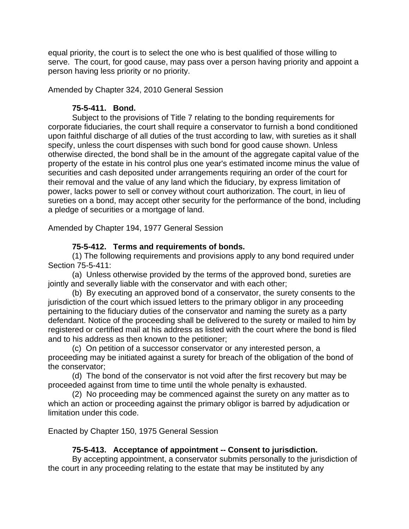equal priority, the court is to select the one who is best qualified of those willing to serve. The court, for good cause, may pass over a person having priority and appoint a person having less priority or no priority.

Amended by Chapter 324, 2010 General Session

## **75-5-411. Bond.**

Subject to the provisions of Title 7 relating to the bonding requirements for corporate fiduciaries, the court shall require a conservator to furnish a bond conditioned upon faithful discharge of all duties of the trust according to law, with sureties as it shall specify, unless the court dispenses with such bond for good cause shown. Unless otherwise directed, the bond shall be in the amount of the aggregate capital value of the property of the estate in his control plus one year's estimated income minus the value of securities and cash deposited under arrangements requiring an order of the court for their removal and the value of any land which the fiduciary, by express limitation of power, lacks power to sell or convey without court authorization. The court, in lieu of sureties on a bond, may accept other security for the performance of the bond, including a pledge of securities or a mortgage of land.

Amended by Chapter 194, 1977 General Session

## **75-5-412. Terms and requirements of bonds.**

(1) The following requirements and provisions apply to any bond required under Section 75-5-411:

(a) Unless otherwise provided by the terms of the approved bond, sureties are jointly and severally liable with the conservator and with each other:

(b) By executing an approved bond of a conservator, the surety consents to the jurisdiction of the court which issued letters to the primary obligor in any proceeding pertaining to the fiduciary duties of the conservator and naming the surety as a party defendant. Notice of the proceeding shall be delivered to the surety or mailed to him by registered or certified mail at his address as listed with the court where the bond is filed and to his address as then known to the petitioner;

(c) On petition of a successor conservator or any interested person, a proceeding may be initiated against a surety for breach of the obligation of the bond of the conservator;

(d) The bond of the conservator is not void after the first recovery but may be proceeded against from time to time until the whole penalty is exhausted.

(2) No proceeding may be commenced against the surety on any matter as to which an action or proceeding against the primary obligor is barred by adjudication or limitation under this code.

Enacted by Chapter 150, 1975 General Session

#### **75-5-413. Acceptance of appointment -- Consent to jurisdiction.**

By accepting appointment, a conservator submits personally to the jurisdiction of the court in any proceeding relating to the estate that may be instituted by any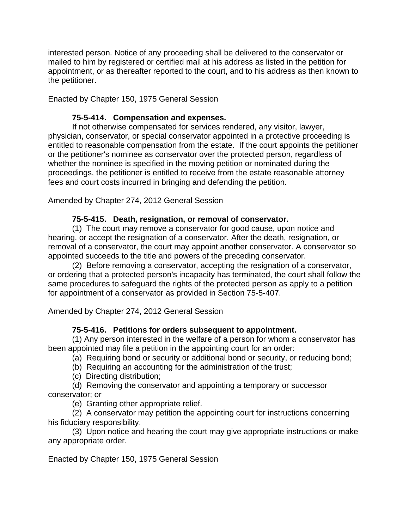interested person. Notice of any proceeding shall be delivered to the conservator or mailed to him by registered or certified mail at his address as listed in the petition for appointment, or as thereafter reported to the court, and to his address as then known to the petitioner.

Enacted by Chapter 150, 1975 General Session

## **75-5-414. Compensation and expenses.**

If not otherwise compensated for services rendered, any visitor, lawyer, physician, conservator, or special conservator appointed in a protective proceeding is entitled to reasonable compensation from the estate. If the court appoints the petitioner or the petitioner's nominee as conservator over the protected person, regardless of whether the nominee is specified in the moving petition or nominated during the proceedings, the petitioner is entitled to receive from the estate reasonable attorney fees and court costs incurred in bringing and defending the petition.

Amended by Chapter 274, 2012 General Session

### **75-5-415. Death, resignation, or removal of conservator.**

(1) The court may remove a conservator for good cause, upon notice and hearing, or accept the resignation of a conservator. After the death, resignation, or removal of a conservator, the court may appoint another conservator. A conservator so appointed succeeds to the title and powers of the preceding conservator.

(2) Before removing a conservator, accepting the resignation of a conservator, or ordering that a protected person's incapacity has terminated, the court shall follow the same procedures to safeguard the rights of the protected person as apply to a petition for appointment of a conservator as provided in Section 75-5-407.

Amended by Chapter 274, 2012 General Session

## **75-5-416. Petitions for orders subsequent to appointment.**

(1) Any person interested in the welfare of a person for whom a conservator has been appointed may file a petition in the appointing court for an order:

(a) Requiring bond or security or additional bond or security, or reducing bond;

- (b) Requiring an accounting for the administration of the trust;
- (c) Directing distribution;

(d) Removing the conservator and appointing a temporary or successor conservator; or

(e) Granting other appropriate relief.

(2) A conservator may petition the appointing court for instructions concerning his fiduciary responsibility.

(3) Upon notice and hearing the court may give appropriate instructions or make any appropriate order.

Enacted by Chapter 150, 1975 General Session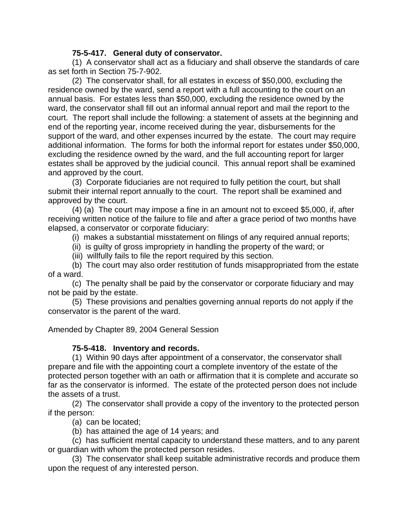#### **75-5-417. General duty of conservator.**

(1) A conservator shall act as a fiduciary and shall observe the standards of care as set forth in Section 75-7-902.

(2) The conservator shall, for all estates in excess of \$50,000, excluding the residence owned by the ward, send a report with a full accounting to the court on an annual basis. For estates less than \$50,000, excluding the residence owned by the ward, the conservator shall fill out an informal annual report and mail the report to the court. The report shall include the following: a statement of assets at the beginning and end of the reporting year, income received during the year, disbursements for the support of the ward, and other expenses incurred by the estate. The court may require additional information. The forms for both the informal report for estates under \$50,000, excluding the residence owned by the ward, and the full accounting report for larger estates shall be approved by the judicial council. This annual report shall be examined and approved by the court.

(3) Corporate fiduciaries are not required to fully petition the court, but shall submit their internal report annually to the court. The report shall be examined and approved by the court.

(4) (a) The court may impose a fine in an amount not to exceed \$5,000, if, after receiving written notice of the failure to file and after a grace period of two months have elapsed, a conservator or corporate fiduciary:

(i) makes a substantial misstatement on filings of any required annual reports;

(ii) is guilty of gross impropriety in handling the property of the ward; or

(iii) willfully fails to file the report required by this section.

(b) The court may also order restitution of funds misappropriated from the estate of a ward.

(c) The penalty shall be paid by the conservator or corporate fiduciary and may not be paid by the estate.

(5) These provisions and penalties governing annual reports do not apply if the conservator is the parent of the ward.

Amended by Chapter 89, 2004 General Session

## **75-5-418. Inventory and records.**

(1) Within 90 days after appointment of a conservator, the conservator shall prepare and file with the appointing court a complete inventory of the estate of the protected person together with an oath or affirmation that it is complete and accurate so far as the conservator is informed. The estate of the protected person does not include the assets of a trust.

(2) The conservator shall provide a copy of the inventory to the protected person if the person:

(a) can be located;

(b) has attained the age of 14 years; and

(c) has sufficient mental capacity to understand these matters, and to any parent or guardian with whom the protected person resides.

(3) The conservator shall keep suitable administrative records and produce them upon the request of any interested person.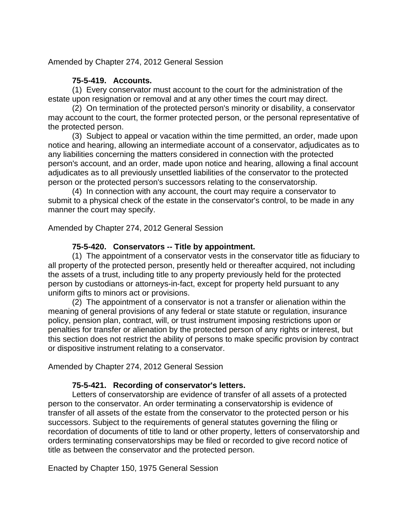Amended by Chapter 274, 2012 General Session

### **75-5-419. Accounts.**

(1) Every conservator must account to the court for the administration of the estate upon resignation or removal and at any other times the court may direct.

(2) On termination of the protected person's minority or disability, a conservator may account to the court, the former protected person, or the personal representative of the protected person.

(3) Subject to appeal or vacation within the time permitted, an order, made upon notice and hearing, allowing an intermediate account of a conservator, adjudicates as to any liabilities concerning the matters considered in connection with the protected person's account, and an order, made upon notice and hearing, allowing a final account adjudicates as to all previously unsettled liabilities of the conservator to the protected person or the protected person's successors relating to the conservatorship.

(4) In connection with any account, the court may require a conservator to submit to a physical check of the estate in the conservator's control, to be made in any manner the court may specify.

Amended by Chapter 274, 2012 General Session

## **75-5-420. Conservators -- Title by appointment.**

(1) The appointment of a conservator vests in the conservator title as fiduciary to all property of the protected person, presently held or thereafter acquired, not including the assets of a trust, including title to any property previously held for the protected person by custodians or attorneys-in-fact, except for property held pursuant to any uniform gifts to minors act or provisions.

(2) The appointment of a conservator is not a transfer or alienation within the meaning of general provisions of any federal or state statute or regulation, insurance policy, pension plan, contract, will, or trust instrument imposing restrictions upon or penalties for transfer or alienation by the protected person of any rights or interest, but this section does not restrict the ability of persons to make specific provision by contract or dispositive instrument relating to a conservator.

Amended by Chapter 274, 2012 General Session

## **75-5-421. Recording of conservator's letters.**

Letters of conservatorship are evidence of transfer of all assets of a protected person to the conservator. An order terminating a conservatorship is evidence of transfer of all assets of the estate from the conservator to the protected person or his successors. Subject to the requirements of general statutes governing the filing or recordation of documents of title to land or other property, letters of conservatorship and orders terminating conservatorships may be filed or recorded to give record notice of title as between the conservator and the protected person.

Enacted by Chapter 150, 1975 General Session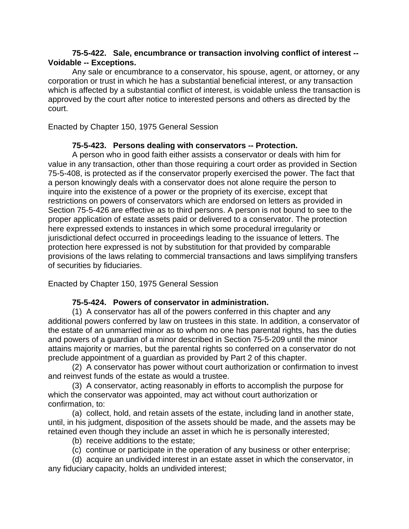#### **75-5-422. Sale, encumbrance or transaction involving conflict of interest -- Voidable -- Exceptions.**

Any sale or encumbrance to a conservator, his spouse, agent, or attorney, or any corporation or trust in which he has a substantial beneficial interest, or any transaction which is affected by a substantial conflict of interest, is voidable unless the transaction is approved by the court after notice to interested persons and others as directed by the court.

Enacted by Chapter 150, 1975 General Session

### **75-5-423. Persons dealing with conservators -- Protection.**

A person who in good faith either assists a conservator or deals with him for value in any transaction, other than those requiring a court order as provided in Section 75-5-408, is protected as if the conservator properly exercised the power. The fact that a person knowingly deals with a conservator does not alone require the person to inquire into the existence of a power or the propriety of its exercise, except that restrictions on powers of conservators which are endorsed on letters as provided in Section 75-5-426 are effective as to third persons. A person is not bound to see to the proper application of estate assets paid or delivered to a conservator. The protection here expressed extends to instances in which some procedural irregularity or jurisdictional defect occurred in proceedings leading to the issuance of letters. The protection here expressed is not by substitution for that provided by comparable provisions of the laws relating to commercial transactions and laws simplifying transfers of securities by fiduciaries.

Enacted by Chapter 150, 1975 General Session

## **75-5-424. Powers of conservator in administration.**

(1) A conservator has all of the powers conferred in this chapter and any additional powers conferred by law on trustees in this state. In addition, a conservator of the estate of an unmarried minor as to whom no one has parental rights, has the duties and powers of a guardian of a minor described in Section 75-5-209 until the minor attains majority or marries, but the parental rights so conferred on a conservator do not preclude appointment of a guardian as provided by Part 2 of this chapter.

(2) A conservator has power without court authorization or confirmation to invest and reinvest funds of the estate as would a trustee.

(3) A conservator, acting reasonably in efforts to accomplish the purpose for which the conservator was appointed, may act without court authorization or confirmation, to:

(a) collect, hold, and retain assets of the estate, including land in another state, until, in his judgment, disposition of the assets should be made, and the assets may be retained even though they include an asset in which he is personally interested;

(b) receive additions to the estate;

(c) continue or participate in the operation of any business or other enterprise;

(d) acquire an undivided interest in an estate asset in which the conservator, in any fiduciary capacity, holds an undivided interest;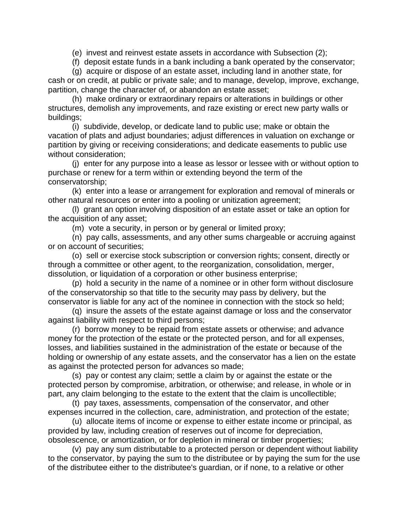(e) invest and reinvest estate assets in accordance with Subsection (2);

(f) deposit estate funds in a bank including a bank operated by the conservator;

(g) acquire or dispose of an estate asset, including land in another state, for cash or on credit, at public or private sale; and to manage, develop, improve, exchange, partition, change the character of, or abandon an estate asset;

(h) make ordinary or extraordinary repairs or alterations in buildings or other structures, demolish any improvements, and raze existing or erect new party walls or buildings;

(i) subdivide, develop, or dedicate land to public use; make or obtain the vacation of plats and adjust boundaries; adjust differences in valuation on exchange or partition by giving or receiving considerations; and dedicate easements to public use without consideration;

(j) enter for any purpose into a lease as lessor or lessee with or without option to purchase or renew for a term within or extending beyond the term of the conservatorship;

(k) enter into a lease or arrangement for exploration and removal of minerals or other natural resources or enter into a pooling or unitization agreement;

(l) grant an option involving disposition of an estate asset or take an option for the acquisition of any asset;

(m) vote a security, in person or by general or limited proxy;

(n) pay calls, assessments, and any other sums chargeable or accruing against or on account of securities;

(o) sell or exercise stock subscription or conversion rights; consent, directly or through a committee or other agent, to the reorganization, consolidation, merger, dissolution, or liquidation of a corporation or other business enterprise;

(p) hold a security in the name of a nominee or in other form without disclosure of the conservatorship so that title to the security may pass by delivery, but the conservator is liable for any act of the nominee in connection with the stock so held;

(q) insure the assets of the estate against damage or loss and the conservator against liability with respect to third persons;

(r) borrow money to be repaid from estate assets or otherwise; and advance money for the protection of the estate or the protected person, and for all expenses, losses, and liabilities sustained in the administration of the estate or because of the holding or ownership of any estate assets, and the conservator has a lien on the estate as against the protected person for advances so made;

(s) pay or contest any claim; settle a claim by or against the estate or the protected person by compromise, arbitration, or otherwise; and release, in whole or in part, any claim belonging to the estate to the extent that the claim is uncollectible;

(t) pay taxes, assessments, compensation of the conservator, and other expenses incurred in the collection, care, administration, and protection of the estate;

(u) allocate items of income or expense to either estate income or principal, as provided by law, including creation of reserves out of income for depreciation, obsolescence, or amortization, or for depletion in mineral or timber properties;

(v) pay any sum distributable to a protected person or dependent without liability to the conservator, by paying the sum to the distributee or by paying the sum for the use of the distributee either to the distributee's guardian, or if none, to a relative or other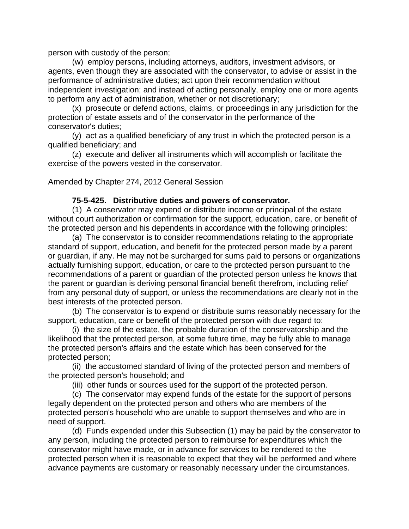person with custody of the person;

(w) employ persons, including attorneys, auditors, investment advisors, or agents, even though they are associated with the conservator, to advise or assist in the performance of administrative duties; act upon their recommendation without independent investigation; and instead of acting personally, employ one or more agents to perform any act of administration, whether or not discretionary;

(x) prosecute or defend actions, claims, or proceedings in any jurisdiction for the protection of estate assets and of the conservator in the performance of the conservator's duties;

(y) act as a qualified beneficiary of any trust in which the protected person is a qualified beneficiary; and

(z) execute and deliver all instruments which will accomplish or facilitate the exercise of the powers vested in the conservator.

Amended by Chapter 274, 2012 General Session

#### **75-5-425. Distributive duties and powers of conservator.**

(1) A conservator may expend or distribute income or principal of the estate without court authorization or confirmation for the support, education, care, or benefit of the protected person and his dependents in accordance with the following principles:

(a) The conservator is to consider recommendations relating to the appropriate standard of support, education, and benefit for the protected person made by a parent or guardian, if any. He may not be surcharged for sums paid to persons or organizations actually furnishing support, education, or care to the protected person pursuant to the recommendations of a parent or guardian of the protected person unless he knows that the parent or guardian is deriving personal financial benefit therefrom, including relief from any personal duty of support, or unless the recommendations are clearly not in the best interests of the protected person.

(b) The conservator is to expend or distribute sums reasonably necessary for the support, education, care or benefit of the protected person with due regard to:

(i) the size of the estate, the probable duration of the conservatorship and the likelihood that the protected person, at some future time, may be fully able to manage the protected person's affairs and the estate which has been conserved for the protected person;

(ii) the accustomed standard of living of the protected person and members of the protected person's household; and

(iii) other funds or sources used for the support of the protected person.

(c) The conservator may expend funds of the estate for the support of persons legally dependent on the protected person and others who are members of the protected person's household who are unable to support themselves and who are in need of support.

(d) Funds expended under this Subsection (1) may be paid by the conservator to any person, including the protected person to reimburse for expenditures which the conservator might have made, or in advance for services to be rendered to the protected person when it is reasonable to expect that they will be performed and where advance payments are customary or reasonably necessary under the circumstances.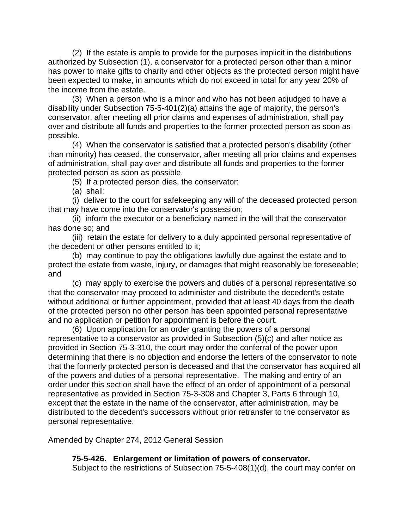(2) If the estate is ample to provide for the purposes implicit in the distributions authorized by Subsection (1), a conservator for a protected person other than a minor has power to make gifts to charity and other objects as the protected person might have been expected to make, in amounts which do not exceed in total for any year 20% of the income from the estate.

(3) When a person who is a minor and who has not been adjudged to have a disability under Subsection 75-5-401(2)(a) attains the age of majority, the person's conservator, after meeting all prior claims and expenses of administration, shall pay over and distribute all funds and properties to the former protected person as soon as possible.

(4) When the conservator is satisfied that a protected person's disability (other than minority) has ceased, the conservator, after meeting all prior claims and expenses of administration, shall pay over and distribute all funds and properties to the former protected person as soon as possible.

(5) If a protected person dies, the conservator:

(a) shall:

(i) deliver to the court for safekeeping any will of the deceased protected person that may have come into the conservator's possession;

(ii) inform the executor or a beneficiary named in the will that the conservator has done so; and

(iii) retain the estate for delivery to a duly appointed personal representative of the decedent or other persons entitled to it;

(b) may continue to pay the obligations lawfully due against the estate and to protect the estate from waste, injury, or damages that might reasonably be foreseeable; and

(c) may apply to exercise the powers and duties of a personal representative so that the conservator may proceed to administer and distribute the decedent's estate without additional or further appointment, provided that at least 40 days from the death of the protected person no other person has been appointed personal representative and no application or petition for appointment is before the court.

(6) Upon application for an order granting the powers of a personal representative to a conservator as provided in Subsection (5)(c) and after notice as provided in Section 75-3-310, the court may order the conferral of the power upon determining that there is no objection and endorse the letters of the conservator to note that the formerly protected person is deceased and that the conservator has acquired all of the powers and duties of a personal representative. The making and entry of an order under this section shall have the effect of an order of appointment of a personal representative as provided in Section 75-3-308 and Chapter 3, Parts 6 through 10, except that the estate in the name of the conservator, after administration, may be distributed to the decedent's successors without prior retransfer to the conservator as personal representative.

Amended by Chapter 274, 2012 General Session

**75-5-426. Enlargement or limitation of powers of conservator.**

Subject to the restrictions of Subsection 75-5-408(1)(d), the court may confer on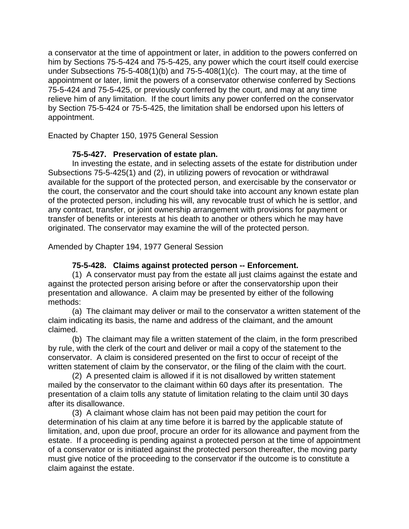a conservator at the time of appointment or later, in addition to the powers conferred on him by Sections 75-5-424 and 75-5-425, any power which the court itself could exercise under Subsections 75-5-408(1)(b) and 75-5-408(1)(c). The court may, at the time of appointment or later, limit the powers of a conservator otherwise conferred by Sections 75-5-424 and 75-5-425, or previously conferred by the court, and may at any time relieve him of any limitation. If the court limits any power conferred on the conservator by Section 75-5-424 or 75-5-425, the limitation shall be endorsed upon his letters of appointment.

Enacted by Chapter 150, 1975 General Session

### **75-5-427. Preservation of estate plan.**

In investing the estate, and in selecting assets of the estate for distribution under Subsections 75-5-425(1) and (2), in utilizing powers of revocation or withdrawal available for the support of the protected person, and exercisable by the conservator or the court, the conservator and the court should take into account any known estate plan of the protected person, including his will, any revocable trust of which he is settlor, and any contract, transfer, or joint ownership arrangement with provisions for payment or transfer of benefits or interests at his death to another or others which he may have originated. The conservator may examine the will of the protected person.

Amended by Chapter 194, 1977 General Session

## **75-5-428. Claims against protected person -- Enforcement.**

(1) A conservator must pay from the estate all just claims against the estate and against the protected person arising before or after the conservatorship upon their presentation and allowance. A claim may be presented by either of the following methods:

(a) The claimant may deliver or mail to the conservator a written statement of the claim indicating its basis, the name and address of the claimant, and the amount claimed.

(b) The claimant may file a written statement of the claim, in the form prescribed by rule, with the clerk of the court and deliver or mail a copy of the statement to the conservator. A claim is considered presented on the first to occur of receipt of the written statement of claim by the conservator, or the filing of the claim with the court.

(2) A presented claim is allowed if it is not disallowed by written statement mailed by the conservator to the claimant within 60 days after its presentation. The presentation of a claim tolls any statute of limitation relating to the claim until 30 days after its disallowance.

(3) A claimant whose claim has not been paid may petition the court for determination of his claim at any time before it is barred by the applicable statute of limitation, and, upon due proof, procure an order for its allowance and payment from the estate. If a proceeding is pending against a protected person at the time of appointment of a conservator or is initiated against the protected person thereafter, the moving party must give notice of the proceeding to the conservator if the outcome is to constitute a claim against the estate.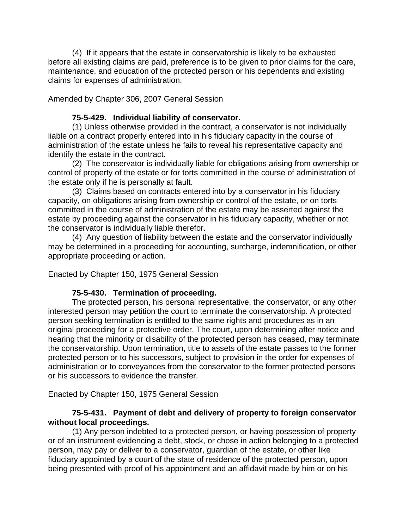(4) If it appears that the estate in conservatorship is likely to be exhausted before all existing claims are paid, preference is to be given to prior claims for the care, maintenance, and education of the protected person or his dependents and existing claims for expenses of administration.

Amended by Chapter 306, 2007 General Session

#### **75-5-429. Individual liability of conservator.**

(1) Unless otherwise provided in the contract, a conservator is not individually liable on a contract properly entered into in his fiduciary capacity in the course of administration of the estate unless he fails to reveal his representative capacity and identify the estate in the contract.

(2) The conservator is individually liable for obligations arising from ownership or control of property of the estate or for torts committed in the course of administration of the estate only if he is personally at fault.

(3) Claims based on contracts entered into by a conservator in his fiduciary capacity, on obligations arising from ownership or control of the estate, or on torts committed in the course of administration of the estate may be asserted against the estate by proceeding against the conservator in his fiduciary capacity, whether or not the conservator is individually liable therefor.

(4) Any question of liability between the estate and the conservator individually may be determined in a proceeding for accounting, surcharge, indemnification, or other appropriate proceeding or action.

Enacted by Chapter 150, 1975 General Session

#### **75-5-430. Termination of proceeding.**

The protected person, his personal representative, the conservator, or any other interested person may petition the court to terminate the conservatorship. A protected person seeking termination is entitled to the same rights and procedures as in an original proceeding for a protective order. The court, upon determining after notice and hearing that the minority or disability of the protected person has ceased, may terminate the conservatorship. Upon termination, title to assets of the estate passes to the former protected person or to his successors, subject to provision in the order for expenses of administration or to conveyances from the conservator to the former protected persons or his successors to evidence the transfer.

Enacted by Chapter 150, 1975 General Session

#### **75-5-431. Payment of debt and delivery of property to foreign conservator without local proceedings.**

(1) Any person indebted to a protected person, or having possession of property or of an instrument evidencing a debt, stock, or chose in action belonging to a protected person, may pay or deliver to a conservator, guardian of the estate, or other like fiduciary appointed by a court of the state of residence of the protected person, upon being presented with proof of his appointment and an affidavit made by him or on his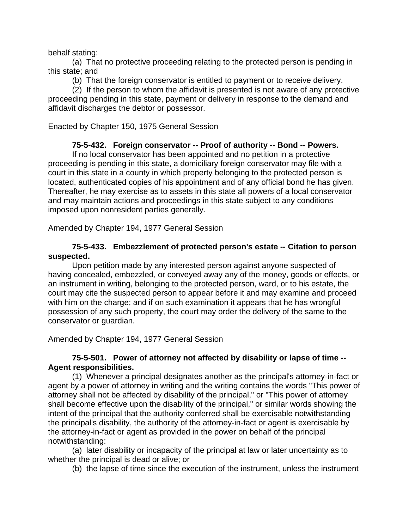behalf stating:

(a) That no protective proceeding relating to the protected person is pending in this state; and

(b) That the foreign conservator is entitled to payment or to receive delivery.

(2) If the person to whom the affidavit is presented is not aware of any protective proceeding pending in this state, payment or delivery in response to the demand and affidavit discharges the debtor or possessor.

Enacted by Chapter 150, 1975 General Session

# **75-5-432. Foreign conservator -- Proof of authority -- Bond -- Powers.**

If no local conservator has been appointed and no petition in a protective proceeding is pending in this state, a domiciliary foreign conservator may file with a court in this state in a county in which property belonging to the protected person is located, authenticated copies of his appointment and of any official bond he has given. Thereafter, he may exercise as to assets in this state all powers of a local conservator and may maintain actions and proceedings in this state subject to any conditions imposed upon nonresident parties generally.

Amended by Chapter 194, 1977 General Session

## **75-5-433. Embezzlement of protected person's estate -- Citation to person suspected.**

Upon petition made by any interested person against anyone suspected of having concealed, embezzled, or conveyed away any of the money, goods or effects, or an instrument in writing, belonging to the protected person, ward, or to his estate, the court may cite the suspected person to appear before it and may examine and proceed with him on the charge; and if on such examination it appears that he has wrongful possession of any such property, the court may order the delivery of the same to the conservator or guardian.

Amended by Chapter 194, 1977 General Session

## **75-5-501. Power of attorney not affected by disability or lapse of time -- Agent responsibilities.**

(1) Whenever a principal designates another as the principal's attorney-in-fact or agent by a power of attorney in writing and the writing contains the words "This power of attorney shall not be affected by disability of the principal," or "This power of attorney shall become effective upon the disability of the principal," or similar words showing the intent of the principal that the authority conferred shall be exercisable notwithstanding the principal's disability, the authority of the attorney-in-fact or agent is exercisable by the attorney-in-fact or agent as provided in the power on behalf of the principal notwithstanding:

(a) later disability or incapacity of the principal at law or later uncertainty as to whether the principal is dead or alive; or

(b) the lapse of time since the execution of the instrument, unless the instrument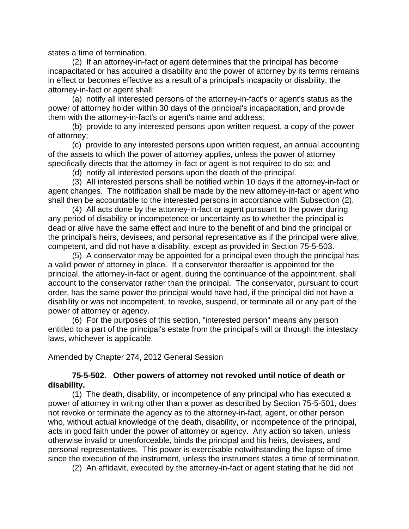states a time of termination.

(2) If an attorney-in-fact or agent determines that the principal has become incapacitated or has acquired a disability and the power of attorney by its terms remains in effect or becomes effective as a result of a principal's incapacity or disability, the attorney-in-fact or agent shall:

(a) notify all interested persons of the attorney-in-fact's or agent's status as the power of attorney holder within 30 days of the principal's incapacitation, and provide them with the attorney-in-fact's or agent's name and address;

(b) provide to any interested persons upon written request, a copy of the power of attorney;

(c) provide to any interested persons upon written request, an annual accounting of the assets to which the power of attorney applies, unless the power of attorney specifically directs that the attorney-in-fact or agent is not required to do so; and

(d) notify all interested persons upon the death of the principal.

(3) All interested persons shall be notified within 10 days if the attorney-in-fact or agent changes. The notification shall be made by the new attorney-in-fact or agent who shall then be accountable to the interested persons in accordance with Subsection (2).

(4) All acts done by the attorney-in-fact or agent pursuant to the power during any period of disability or incompetence or uncertainty as to whether the principal is dead or alive have the same effect and inure to the benefit of and bind the principal or the principal's heirs, devisees, and personal representative as if the principal were alive, competent, and did not have a disability, except as provided in Section 75-5-503.

(5) A conservator may be appointed for a principal even though the principal has a valid power of attorney in place. If a conservator thereafter is appointed for the principal, the attorney-in-fact or agent, during the continuance of the appointment, shall account to the conservator rather than the principal. The conservator, pursuant to court order, has the same power the principal would have had, if the principal did not have a disability or was not incompetent, to revoke, suspend, or terminate all or any part of the power of attorney or agency.

(6) For the purposes of this section, "interested person" means any person entitled to a part of the principal's estate from the principal's will or through the intestacy laws, whichever is applicable.

Amended by Chapter 274, 2012 General Session

#### **75-5-502. Other powers of attorney not revoked until notice of death or disability.**

(1) The death, disability, or incompetence of any principal who has executed a power of attorney in writing other than a power as described by Section 75-5-501, does not revoke or terminate the agency as to the attorney-in-fact, agent, or other person who, without actual knowledge of the death, disability, or incompetence of the principal, acts in good faith under the power of attorney or agency. Any action so taken, unless otherwise invalid or unenforceable, binds the principal and his heirs, devisees, and personal representatives. This power is exercisable notwithstanding the lapse of time since the execution of the instrument, unless the instrument states a time of termination.

(2) An affidavit, executed by the attorney-in-fact or agent stating that he did not